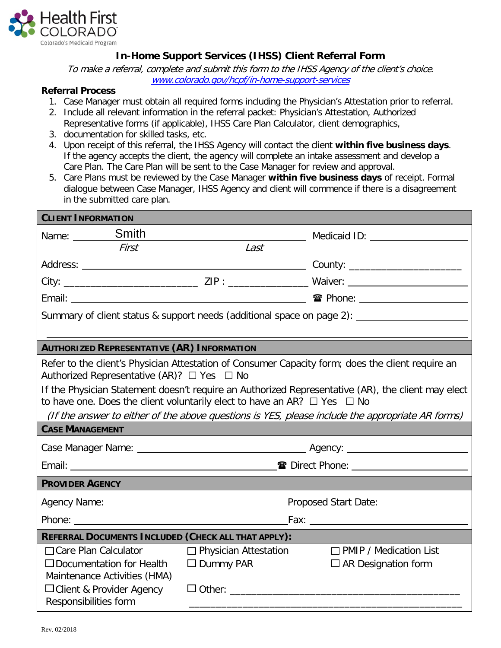

## **In-Home Support Services (IHSS) Client Referral Form**

To make a referral, complete and submit this form to the IHSS Agency of the client's choice. [www.colorado.gov/hcpf/in-home-support-services](http://www.colorado.gov/hcpf/in-home-support-services)

## **Referral Process**

- 1. Case Manager must obtain all required forms including the Physician's Attestation prior to referral.
- 2. Include all relevant information in the referral packet: Physician's Attestation, Authorized Representative forms (if applicable), IHSS Care Plan Calculator, client demographics,
- 3. documentation for skilled tasks, etc.
- 4. Upon receipt of this referral, the IHSS Agency will contact the client **within five business days**. If the agency accepts the client, the agency will complete an intake assessment and develop a Care Plan. The Care Plan will be sent to the Case Manager for review and approval.
- 5. Care Plans must be reviewed by the Case Manager **within five business days** of receipt. Formal dialogue between Case Manager, IHSS Agency and client will commence if there is a disagreement in the submitted care plan.

| <b>CLIENT INFORMATION</b>                                                                                                                                 |                              |                               |  |  |
|-----------------------------------------------------------------------------------------------------------------------------------------------------------|------------------------------|-------------------------------|--|--|
| Name: __________Smith                                                                                                                                     |                              |                               |  |  |
| First                                                                                                                                                     | Last                         |                               |  |  |
|                                                                                                                                                           |                              |                               |  |  |
|                                                                                                                                                           |                              |                               |  |  |
|                                                                                                                                                           |                              |                               |  |  |
| Summary of client status & support needs (additional space on page 2):                                                                                    |                              |                               |  |  |
|                                                                                                                                                           |                              |                               |  |  |
| <b>AUTHORIZED REPRESENTATIVE (AR) INFORMATION</b>                                                                                                         |                              |                               |  |  |
| Refer to the client's Physician Attestation of Consumer Capacity form; does the client require an<br>Authorized Representative (AR)? $\Box$ Yes $\Box$ No |                              |                               |  |  |
| If the Physician Statement doesn't require an Authorized Representative (AR), the client may elect                                                        |                              |                               |  |  |
| to have one. Does the client voluntarily elect to have an AR? $\Box$ Yes $\Box$ No                                                                        |                              |                               |  |  |
| (If the answer to either of the above questions is YES, please include the appropriate AR forms)                                                          |                              |                               |  |  |
| <b>CASE MANAGEMENT</b>                                                                                                                                    |                              |                               |  |  |
|                                                                                                                                                           |                              |                               |  |  |
|                                                                                                                                                           |                              |                               |  |  |
| <b>PROVIDER AGENCY</b>                                                                                                                                    |                              |                               |  |  |
|                                                                                                                                                           |                              |                               |  |  |
|                                                                                                                                                           |                              |                               |  |  |
| REFERRAL DOCUMENTS INCLUDED (CHECK ALL THAT APPLY):                                                                                                       |                              |                               |  |  |
| □ Care Plan Calculator                                                                                                                                    | $\Box$ Physician Attestation | $\Box$ PMIP / Medication List |  |  |
| $\Box$ Documentation for Health                                                                                                                           | $\Box$ Dummy PAR             | $\Box$ AR Designation form    |  |  |
| Maintenance Activities (HMA)                                                                                                                              |                              |                               |  |  |
| □ Client & Provider Agency<br>Responsibilities form                                                                                                       |                              |                               |  |  |
|                                                                                                                                                           |                              |                               |  |  |